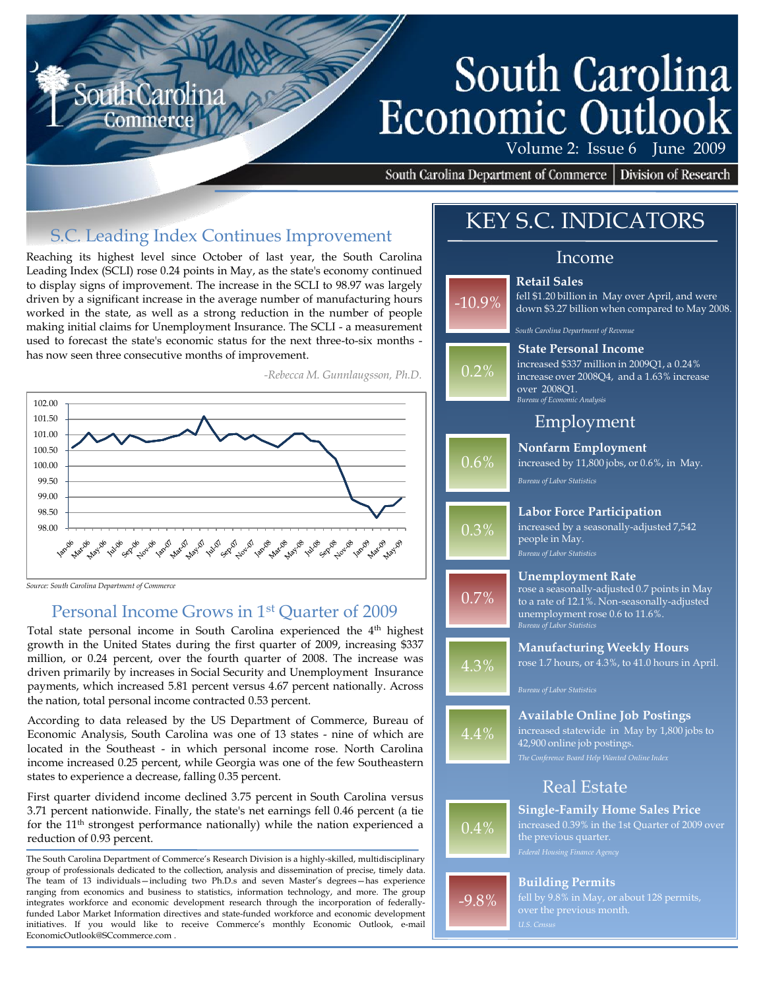# South Carolina **Economic Outloo**

Volume 2: Issue 6 June 2009

South Carolina Department of Commerce | Division of Research

**Retail Sales**

# S.C. Leading Index Continues Improvement

Reaching its highest level since October of last year, the South Carolina Leading Index (SCLI) rose 0.24 points in May, as the state's economy continued to display signs of improvement. The increase in the SCLI to 98.97 was largely driven by a significant increase in the average number of manufacturing hours worked in the state, as well as a strong reduction in the number of people making initial claims for Unemployment Insurance. The SCLI - a measurement used to forecast the state's economic status for the next three-to-six months has now seen three consecutive months of improvement.

*-Rebecca M. Gunnlaugsson, Ph.D.*



#### *Source: South Carolina Department of Commerce*

### Personal Income Grows in 1st Quarter of 2009

Total state personal income in South Carolina experienced the 4<sup>th</sup> highest growth in the United States during the first quarter of 2009, increasing \$337 million, or 0.24 percent, over the fourth quarter of 2008. The increase was driven primarily by increases in Social Security and Unemployment Insurance payments, which increased 5.81 percent versus 4.67 percent nationally. Across the nation, total personal income contracted 0.53 percent.

According to data released by the US Department of Commerce, Bureau of Economic Analysis, South Carolina was one of 13 states - nine of which are located in the Southeast - in which personal income rose. North Carolina income increased 0.25 percent, while Georgia was one of the few Southeastern states to experience a decrease, falling 0.35 percent.

First quarter dividend income declined 3.75 percent in South Carolina versus 3.71 percent nationwide. Finally, the state's net earnings fell 0.46 percent (a tie for the 11<sup>th</sup> strongest performance nationally) while the nation experienced a reduction of 0.93 percent.

The South Carolina Department of Commerce's Research Division is a highly-skilled, multidisciplinary group of professionals dedicated to the collection, analysis and dissemination of precise, timely data. The team of 13 individuals—including two Ph.D.s and seven Master's degrees—has experience ranging from economics and business to statistics, information technology, and more. The group integrates workforce and economic development research through the incorporation of federallyfunded Labor Market Information directives and state-funded workforce and economic development initiatives. If you would like to receive Commerce's monthly Economic Outlook, e-mail EconomicOutlook@SCcommerce.com .

# KEY S.C. INDICATORS

#### Income

# -10.9%

 $0.2%$ 

0.6%

0.3%

0.7%

4.3%

4.4%



*South Carolina Department of Revenue*

#### **State Personal Income**

*Bureau of Economic Analysis* increased \$337 million in 2009Q1, a 0.24% increase over 2008Q4, and a 1.63% increase over 2008Q1.

## Employment

#### **Nonfarm Employment**

increased by 11,800 jobs, or 0.6%, in May.

*Bureau of Labor Statistics*

#### **Labor Force Participation**

*Bureau of Labor Statistics* increased by a seasonally-adjusted 7,542 people in May.

#### **Unemployment Rate**

*Bureau of Labor Statistics* unemployment rose 0.6 to 11.6%. rose a seasonally-adjusted 0.7 points in May to a rate of 12.1%. Non-seasonally-adjusted

#### **Manufacturing Weekly Hours** rose 1.7 hours, or 4.3%, to 41.0 hours in April.

*Bureau of Labor Statistics*

#### **Available Online Job Postings**

increased statewide in May by 1,800 jobs to 42,900 online job postings.

## Real Estate



-9.8%

# **Single-Family Home Sales Price** increased 0.39% in the 1st Quarter of 2009 over

#### **Building Permits**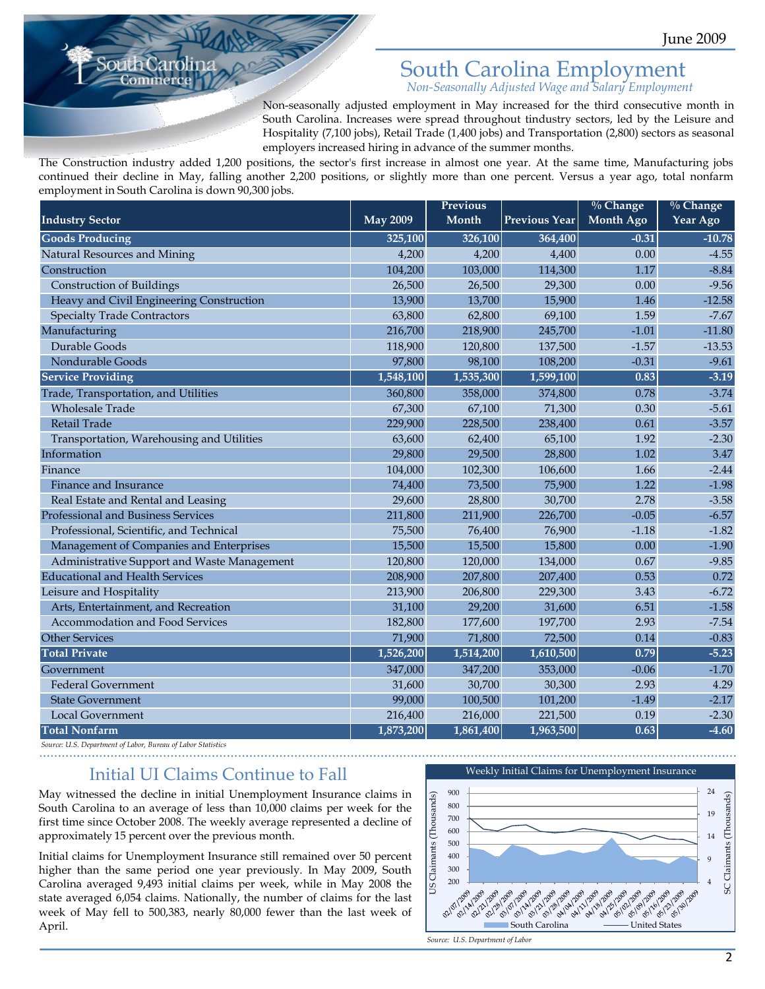# South Carolina Employment

*Non-Seasonally Adjusted Wage and Salary Employment*

Non-seasonally adjusted employment in May increased for the third consecutive month in South Carolina. Increases were spread throughout tindustry sectors, led by the Leisure and Hospitality (7,100 jobs), Retail Trade (1,400 jobs) and Transportation (2,800) sectors as seasonal employers increased hiring in advance of the summer months.

The Construction industry added 1,200 positions, the sector's first increase in almost one year. At the same time, Manufacturing jobs continued their decline in May, falling another 2,200 positions, or slightly more than one percent. Versus a year ago, total nonfarm employment in South Carolina is down 90,300 jobs.

|                                             |                 | <b>Previous</b> |               | $\%$ Change      | $\%$ Change |
|---------------------------------------------|-----------------|-----------------|---------------|------------------|-------------|
| <b>Industry Sector</b>                      | <b>May 2009</b> | Month           | Previous Year | <b>Month Ago</b> | Year Ago    |
| <b>Goods Producing</b>                      | 325,100         | 326,100         | 364,400       | $-0.31$          | $-10.78$    |
| Natural Resources and Mining                | 4,200           | 4,200           | 4,400         | 0.00             | $-4.55$     |
| Construction                                | 104,200         | 103,000         | 114,300       | 1.17             | $-8.84$     |
| <b>Construction of Buildings</b>            | 26,500          | 26,500          | 29,300        | 0.00             | $-9.56$     |
| Heavy and Civil Engineering Construction    | 13,900          | 13,700          | 15,900        | 1.46             | $-12.58$    |
| <b>Specialty Trade Contractors</b>          | 63,800          | 62,800          | 69,100        | 1.59             | $-7.67$     |
| Manufacturing                               | 216,700         | 218,900         | 245,700       | $-1.01$          | $-11.80$    |
| Durable Goods                               | 118,900         | 120,800         | 137,500       | $-1.57$          | $-13.53$    |
| Nondurable Goods                            | 97,800          | 98,100          | 108,200       | $-0.31$          | $-9.61$     |
| <b>Service Providing</b>                    | 1,548,100       | 1,535,300       | 1,599,100     | 0.83             | $-3.19$     |
| Trade, Transportation, and Utilities        | 360,800         | 358,000         | 374,800       | 0.78             | $-3.74$     |
| <b>Wholesale Trade</b>                      | 67,300          | 67,100          | 71,300        | 0.30             | $-5.61$     |
| Retail Trade                                | 229,900         | 228,500         | 238,400       | 0.61             | $-3.57$     |
| Transportation, Warehousing and Utilities   | 63,600          | 62,400          | 65,100        | 1.92             | $-2.30$     |
| Information                                 | 29,800          | 29,500          | 28,800        | 1.02             | 3.47        |
| Finance                                     | 104,000         | 102,300         | 106,600       | 1.66             | $-2.44$     |
| Finance and Insurance                       | 74,400          | 73,500          | 75,900        | 1.22             | $-1.98$     |
| Real Estate and Rental and Leasing          | 29,600          | 28,800          | 30,700        | 2.78             | $-3.58$     |
| Professional and Business Services          | 211,800         | 211,900         | 226,700       | $-0.05$          | $-6.57$     |
| Professional, Scientific, and Technical     | 75,500          | 76,400          | 76,900        | $-1.18$          | $-1.82$     |
| Management of Companies and Enterprises     | 15,500          | 15,500          | 15,800        | 0.00             | $-1.90$     |
| Administrative Support and Waste Management | 120,800         | 120,000         | 134,000       | 0.67             | $-9.85$     |
| <b>Educational and Health Services</b>      | 208,900         | 207,800         | 207,400       | 0.53             | 0.72        |
| Leisure and Hospitality                     | 213,900         | 206,800         | 229,300       | 3.43             | $-6.72$     |
| Arts, Entertainment, and Recreation         | 31,100          | 29,200          | 31,600        | 6.51             | $-1.58$     |
| Accommodation and Food Services             | 182,800         | 177,600         | 197,700       | 2.93             | $-7.54$     |
| <b>Other Services</b>                       | 71,900          | 71,800          | 72,500        | 0.14             | $-0.83$     |
| <b>Total Private</b>                        | 1,526,200       | 1,514,200       | 1,610,500     | 0.79             | $-5.23$     |
| Government                                  | 347,000         | 347,200         | 353,000       | $-0.06$          | $-1.70$     |
| <b>Federal Government</b>                   | 31,600          | 30,700          | 30,300        | 2.93             | 4.29        |
| <b>State Government</b>                     | 99,000          | 100,500         | 101,200       | $-1.49$          | $-2.17$     |
| <b>Local Government</b>                     | 216,400         | 216,000         | 221,500       | 0.19             | $-2.30$     |
| <b>Total Nonfarm</b>                        | 1,873,200       | 1,861,400       | 1,963,500     | 0.63             | $-4.60$     |

*Source: U.S. Department of Labor, Bureau of Labor Statistics*

ommerc

### Initial UI Claims Continue to Fall

May witnessed the decline in initial Unemployment Insurance claims in South Carolina to an average of less than 10,000 claims per week for the first time since October 2008. The weekly average represented a decline of approximately 15 percent over the previous month.

Initial claims for Unemployment Insurance still remained over 50 percent higher than the same period one year previously. In May 2009, South Carolina averaged 9,493 initial claims per week, while in May 2008 the state averaged 6,054 claims. Nationally, the number of claims for the last week of May fell to 500,383, nearly 80,000 fewer than the last week of April.